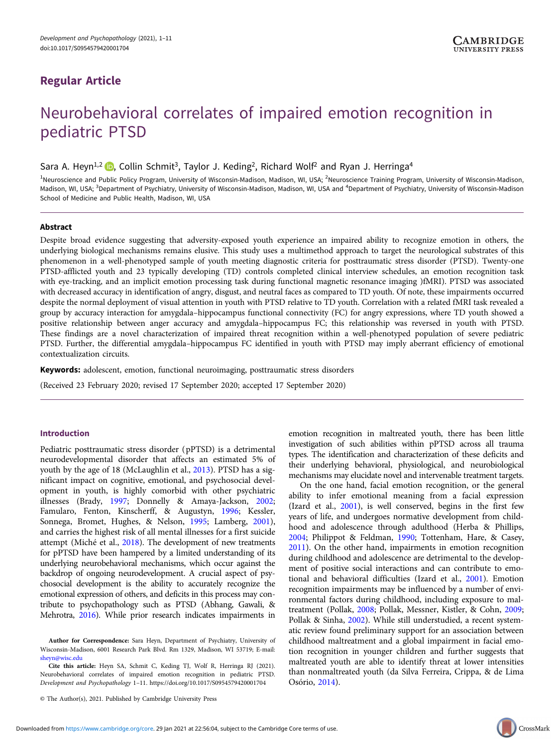# Regular Article

# Neurobehavioral correlates of impaired emotion recognition in pediatric PTSD

Sara A. Heyn<sup>1,2</sup> **D**, Collin Schmit<sup>3</sup>, Taylor J. Keding<sup>2</sup>, Richard Wolf<sup>2</sup> and Ryan J. Herringa<sup>4</sup>

<sup>1</sup>Neuroscience and Public Policy Program, University of Wisconsin-Madison, Madison, WI, USA; <sup>2</sup>Neuroscience Training Program, University of Wisconsin-Madison, Madison, WI, USA; <sup>3</sup>Department of Psychiatry, University of Wisconsin-Madison, Madison, WI, USA and <sup>4</sup>Department of Psychiatry, University of Wisconsin-Madison School of Medicine and Public Health, Madison, WI, USA

# Abstract

Despite broad evidence suggesting that adversity-exposed youth experience an impaired ability to recognize emotion in others, the underlying biological mechanisms remains elusive. This study uses a multimethod approach to target the neurological substrates of this phenomenon in a well-phenotyped sample of youth meeting diagnostic criteria for posttraumatic stress disorder (PTSD). Twenty-one PTSD-afflicted youth and 23 typically developing (TD) controls completed clinical interview schedules, an emotion recognition task with eye-tracking, and an implicit emotion processing task during functional magnetic resonance imaging )fMRI). PTSD was associated with decreased accuracy in identification of angry, disgust, and neutral faces as compared to TD youth. Of note, these impairments occurred despite the normal deployment of visual attention in youth with PTSD relative to TD youth. Correlation with a related fMRI task revealed a group by accuracy interaction for amygdala–hippocampus functional connectivity (FC) for angry expressions, where TD youth showed a positive relationship between anger accuracy and amygdala–hippocampus FC; this relationship was reversed in youth with PTSD. These findings are a novel characterization of impaired threat recognition within a well-phenotyped population of severe pediatric PTSD. Further, the differential amygdala–hippocampus FC identified in youth with PTSD may imply aberrant efficiency of emotional contextualization circuits.

Keywords: adolescent, emotion, functional neuroimaging, posttraumatic stress disorders

(Received 23 February 2020; revised 17 September 2020; accepted 17 September 2020)

### Introduction

Pediatric posttraumatic stress disorder (pPTSD) is a detrimental neurodevelopmental disorder that affects an estimated 5% of youth by the age of 18 (McLaughlin et al., [2013](#page-10-0)). PTSD has a significant impact on cognitive, emotional, and psychosocial development in youth, is highly comorbid with other psychiatric illnesses (Brady, [1997;](#page-8-0) Donnelly & Amaya-Jackson, [2002;](#page-9-0) Famularo, Fenton, Kinscherff, & Augustyn, [1996](#page-9-0); Kessler, Sonnega, Bromet, Hughes, & Nelson, [1995;](#page-9-0) Lamberg, [2001\)](#page-9-0), and carries the highest risk of all mental illnesses for a first suicide attempt (Miché et al., [2018\)](#page-10-0). The development of new treatments for pPTSD have been hampered by a limited understanding of its underlying neurobehavioral mechanisms, which occur against the backdrop of ongoing neurodevelopment. A crucial aspect of psychosocial development is the ability to accurately recognize the emotional expression of others, and deficits in this process may contribute to psychopathology such as PTSD (Abhang, Gawali, & Mehrotra, [2016\)](#page-8-0). While prior research indicates impairments in

Author for Correspondence: Sara Heyn, Department of Psychiatry, University of Wisconsin-Madison, 6001 Research Park Blvd. Rm 1329, Madison, WI 53719; E-mail: [sheyn@wisc.edu](mailto:sheyn@wisc.edu)

Cite this article: Heyn SA, Schmit C, Keding TJ, Wolf R, Herringa RJ (2021). Neurobehavioral correlates of impaired emotion recognition in pediatric PTSD. Development and Psychopathology 1–11.<https://doi.org/10.1017/S0954579420001704>

emotion recognition in maltreated youth, there has been little investigation of such abilities within pPTSD across all trauma types. The identification and characterization of these deficits and their underlying behavioral, physiological, and neurobiological mechanisms may elucidate novel and intervenable treatment targets.

On the one hand, facial emotion recognition, or the general ability to infer emotional meaning from a facial expression (Izard et al., [2001](#page-9-0)), is well conserved, begins in the first few years of life, and undergoes normative development from childhood and adolescence through adulthood (Herba & Phillips, [2004](#page-9-0); Philippot & Feldman, [1990;](#page-10-0) Tottenham, Hare, & Casey, [2011](#page-10-0)). On the other hand, impairments in emotion recognition during childhood and adolescence are detrimental to the development of positive social interactions and can contribute to emotional and behavioral difficulties (Izard et al., [2001](#page-9-0)). Emotion recognition impairments may be influenced by a number of environmental factors during childhood, including exposure to maltreatment (Pollak, [2008;](#page-10-0) Pollak, Messner, Kistler, & Cohn, [2009](#page-10-0); Pollak & Sinha, [2002](#page-10-0)). While still understudied, a recent systematic review found preliminary support for an association between childhood maltreatment and a global impairment in facial emotion recognition in younger children and further suggests that maltreated youth are able to identify threat at lower intensities than nonmaltreated youth (da Silva Ferreira, Crippa, & de Lima Osório, [2014\)](#page-9-0).

<sup>©</sup> The Author(s), 2021. Published by Cambridge University Press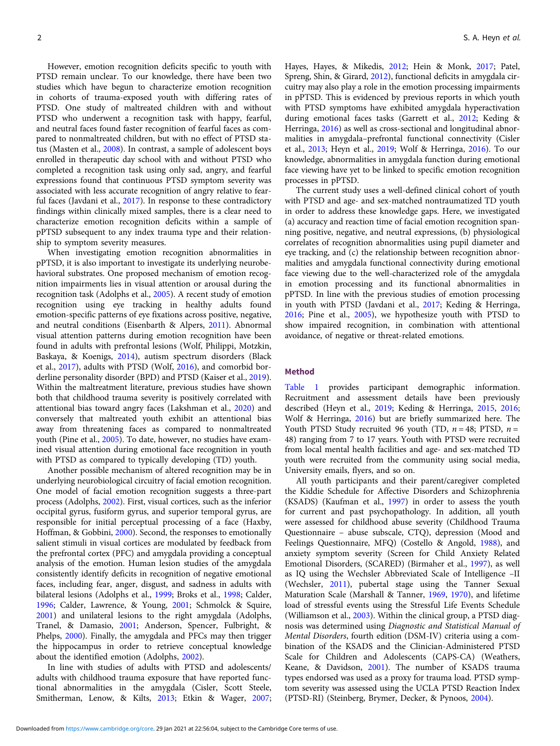However, emotion recognition deficits specific to youth with PTSD remain unclear. To our knowledge, there have been two studies which have begun to characterize emotion recognition in cohorts of trauma-exposed youth with differing rates of PTSD. One study of maltreated children with and without PTSD who underwent a recognition task with happy, fearful, and neutral faces found faster recognition of fearful faces as compared to nonmaltreated children, but with no effect of PTSD status (Masten et al., [2008\)](#page-10-0). In contrast, a sample of adolescent boys enrolled in therapeutic day school with and without PTSD who completed a recognition task using only sad, angry, and fearful expressions found that continuous PTSD symptom severity was associated with less accurate recognition of angry relative to fearful faces (Javdani et al., [2017\)](#page-9-0). In response to these contradictory findings within clinically mixed samples, there is a clear need to characterize emotion recognition deficits within a sample of pPTSD subsequent to any index trauma type and their relationship to symptom severity measures.

When investigating emotion recognition abnormalities in pPTSD, it is also important to investigate its underlying neurobehavioral substrates. One proposed mechanism of emotion recognition impairments lies in visual attention or arousal during the recognition task (Adolphs et al., [2005\)](#page-8-0). A recent study of emotion recognition using eye tracking in healthy adults found emotion-specific patterns of eye fixations across positive, negative, and neutral conditions (Eisenbarth & Alpers, [2011\)](#page-9-0). Abnormal visual attention patterns during emotion recognition have been found in adults with prefrontal lesions (Wolf, Philippi, Motzkin, Baskaya, & Koenigs, [2014\)](#page-10-0), autism spectrum disorders (Black et al., [2017](#page-8-0)), adults with PTSD (Wolf, [2016\)](#page-10-0), and comorbid borderline personality disorder (BPD) and PTSD (Kaiser et al., [2019\)](#page-9-0). Within the maltreatment literature, previous studies have shown both that childhood trauma severity is positively correlated with attentional bias toward angry faces (Lakshman et al., [2020\)](#page-9-0) and conversely that maltreated youth exhibit an attentional bias away from threatening faces as compared to nonmaltreated youth (Pine et al., [2005](#page-10-0)). To date, however, no studies have examined visual attention during emotional face recognition in youth with PTSD as compared to typically developing (TD) youth.

Another possible mechanism of altered recognition may be in underlying neurobiological circuitry of facial emotion recognition. One model of facial emotion recognition suggests a three-part process (Adolphs, [2002](#page-8-0)). First, visual cortices, such as the inferior occipital gyrus, fusiform gyrus, and superior temporal gyrus, are responsible for initial perceptual processing of a face (Haxby, Hoffman, & Gobbini, [2000](#page-9-0)). Second, the responses to emotionally salient stimuli in visual cortices are modulated by feedback from the prefrontal cortex (PFC) and amygdala providing a conceptual analysis of the emotion. Human lesion studies of the amygdala consistently identify deficits in recognition of negative emotional faces, including fear, anger, disgust, and sadness in adults with bilateral lesions (Adolphs et al., [1999](#page-8-0); Broks et al., [1998](#page-8-0); Calder, [1996;](#page-9-0) Calder, Lawrence, & Young, [2001;](#page-9-0) Schmolck & Squire, [2001\)](#page-10-0) and unilateral lesions to the right amygdala (Adolphs, Tranel, & Damasio, [2001;](#page-8-0) Anderson, Spencer, Fulbright, & Phelps, [2000](#page-8-0)). Finally, the amygdala and PFCs may then trigger the hippocampus in order to retrieve conceptual knowledge about the identified emotion (Adolphs, [2002](#page-8-0)).

In line with studies of adults with PTSD and adolescents/ adults with childhood trauma exposure that have reported functional abnormalities in the amygdala (Cisler, Scott Steele, Smitherman, Lenow, & Kilts, [2013](#page-9-0); Etkin & Wager, [2007;](#page-9-0) Hayes, Hayes, & Mikedis, [2012;](#page-9-0) Hein & Monk, [2017;](#page-9-0) Patel, Spreng, Shin, & Girard, [2012](#page-10-0)), functional deficits in amygdala circuitry may also play a role in the emotion processing impairments in pPTSD. This is evidenced by previous reports in which youth with PTSD symptoms have exhibited amygdala hyperactivation during emotional faces tasks (Garrett et al., [2012](#page-9-0); Keding & Herringa, [2016](#page-9-0)) as well as cross-sectional and longitudinal abnormalities in amygdala–prefrontal functional connectivity (Cisler et al., [2013](#page-9-0); Heyn et al., [2019](#page-9-0); Wolf & Herringa, [2016](#page-10-0)). To our knowledge, abnormalities in amygdala function during emotional face viewing have yet to be linked to specific emotion recognition processes in pPTSD.

The current study uses a well-defined clinical cohort of youth with PTSD and age- and sex-matched nontraumatized TD youth in order to address these knowledge gaps. Here, we investigated (a) accuracy and reaction time of facial emotion recognition spanning positive, negative, and neutral expressions, (b) physiological correlates of recognition abnormalities using pupil diameter and eye tracking, and (c) the relationship between recognition abnormalities and amygdala functional connectivity during emotional face viewing due to the well-characterized role of the amygdala in emotion processing and its functional abnormalities in pPTSD. In line with the previous studies of emotion processing in youth with PTSD (Javdani et al., [2017;](#page-9-0) Keding & Herringa, [2016](#page-9-0); Pine et al., [2005\)](#page-10-0), we hypothesize youth with PTSD to show impaired recognition, in combination with attentional avoidance, of negative or threat-related emotions.

#### Method

[Table 1](#page-2-0) provides participant demographic information. Recruitment and assessment details have been previously described (Heyn et al., [2019;](#page-9-0) Keding & Herringa, [2015,](#page-9-0) [2016](#page-9-0); Wolf & Herringa, [2016\)](#page-10-0) but are briefly summarized here. The Youth PTSD Study recruited 96 youth (TD,  $n = 48$ ; PTSD,  $n =$ 48) ranging from 7 to 17 years. Youth with PTSD were recruited from local mental health facilities and age- and sex-matched TD youth were recruited from the community using social media, University emails, flyers, and so on.

All youth participants and their parent/caregiver completed the Kiddie Schedule for Affective Disorders and Schizophrenia (KSADS) (Kaufman et al., [1997\)](#page-9-0) in order to assess the youth for current and past psychopathology. In addition, all youth were assessed for childhood abuse severity (Childhood Trauma Questionnaire – abuse subscale, CTQ), depression (Mood and Feelings Questionnaire, MFQ) (Costello & Angold, [1988](#page-9-0)), and anxiety symptom severity (Screen for Child Anxiety Related Emotional Disorders, (SCARED) (Birmaher et al., [1997\)](#page-8-0), as well as IQ using the Wechsler Abbreviated Scale of Intelligence –II (Wechsler, [2011](#page-10-0)), pubertal stage using the Tanner Sexual Maturation Scale (Marshall & Tanner, [1969](#page-10-0), [1970](#page-10-0)), and lifetime load of stressful events using the Stressful Life Events Schedule (Williamson et al., [2003](#page-10-0)). Within the clinical group, a PTSD diagnosis was determined using Diagnostic and Statistical Manual of Mental Disorders, fourth edition (DSM-IV) criteria using a combination of the KSADS and the Clinician-Administered PTSD Scale for Children and Adolescents (CAPS-CA) (Weathers, Keane, & Davidson, [2001\)](#page-10-0). The number of KSADS trauma types endorsed was used as a proxy for trauma load. PTSD symptom severity was assessed using the UCLA PTSD Reaction Index (PTSD-RI) (Steinberg, Brymer, Decker, & Pynoos, [2004\)](#page-10-0).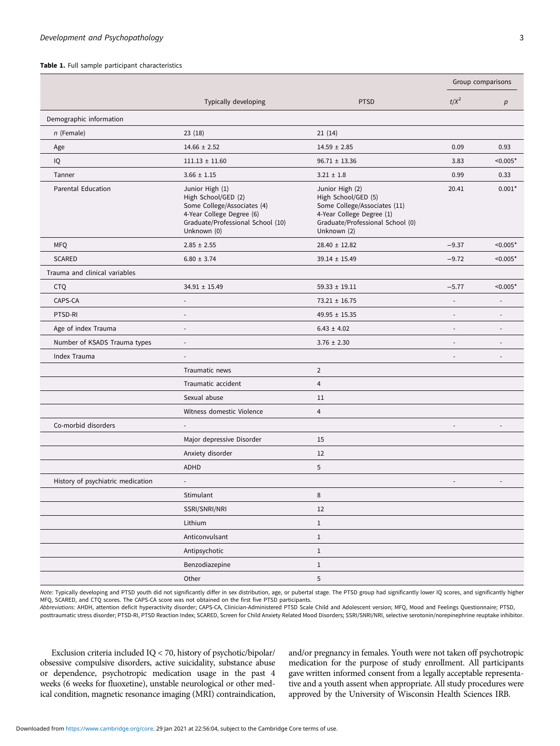#### <span id="page-2-0"></span>Table 1. Full sample participant characteristics

|                                   |                                                                                                                                                        |                                                                                                                                                        | Group comparisons        |                          |
|-----------------------------------|--------------------------------------------------------------------------------------------------------------------------------------------------------|--------------------------------------------------------------------------------------------------------------------------------------------------------|--------------------------|--------------------------|
|                                   | Typically developing                                                                                                                                   | <b>PTSD</b>                                                                                                                                            | $t/X^2$                  | р                        |
| Demographic information           |                                                                                                                                                        |                                                                                                                                                        |                          |                          |
| $n$ (Female)                      | 23(18)                                                                                                                                                 | 21(14)                                                                                                                                                 |                          |                          |
| Age                               | $14.66 \pm 2.52$                                                                                                                                       | $14.59 \pm 2.85$                                                                                                                                       | 0.09                     | 0.93                     |
| IQ                                | $111.13 \pm 11.60$                                                                                                                                     | $96.71 \pm 13.36$                                                                                                                                      | 3.83                     | $< 0.005*$               |
| Tanner                            | $3.66 \pm 1.15$                                                                                                                                        | $3.21 \pm 1.8$                                                                                                                                         | 0.99                     | 0.33                     |
| <b>Parental Education</b>         | Junior High (1)<br>High School/GED (2)<br>Some College/Associates (4)<br>4-Year College Degree (6)<br>Graduate/Professional School (10)<br>Unknown (0) | Junior High (2)<br>High School/GED (5)<br>Some College/Associates (11)<br>4-Year College Degree (1)<br>Graduate/Professional School (0)<br>Unknown (2) | 20.41                    | $0.001*$                 |
| <b>MFQ</b>                        | $2.85 \pm 2.55$                                                                                                                                        | $28.40 \pm 12.82$                                                                                                                                      | $-9.37$                  | $< 0.005*$               |
| <b>SCARED</b>                     | $6.80 \pm 3.74$                                                                                                                                        | $39.14 \pm 15.49$                                                                                                                                      | $-9.72$                  | $< 0.005*$               |
| Trauma and clinical variables     |                                                                                                                                                        |                                                                                                                                                        |                          |                          |
| <b>CTQ</b>                        | $34.91 \pm 15.49$                                                                                                                                      | $59.33 \pm 19.11$                                                                                                                                      | $-5.77$                  | $< 0.005*$               |
| CAPS-CA                           | ÷,                                                                                                                                                     | $73.21 \pm 16.75$                                                                                                                                      |                          |                          |
| PTSD-RI                           | $\overline{a}$                                                                                                                                         | $49.95 \pm 15.35$                                                                                                                                      | $\overline{a}$           |                          |
| Age of index Trauma               | $\overline{\phantom{a}}$                                                                                                                               | $6.43 \pm 4.02$                                                                                                                                        |                          |                          |
| Number of KSADS Trauma types      | $\overline{\phantom{a}}$                                                                                                                               | $3.76 \pm 2.30$                                                                                                                                        | $\overline{\phantom{a}}$ | $\overline{\phantom{a}}$ |
| Index Trauma                      | $\overline{\phantom{a}}$                                                                                                                               |                                                                                                                                                        | $\overline{\phantom{a}}$ | $\overline{\phantom{a}}$ |
|                                   | Traumatic news                                                                                                                                         | $\overline{2}$                                                                                                                                         |                          |                          |
|                                   | Traumatic accident                                                                                                                                     | $\overline{4}$                                                                                                                                         |                          |                          |
|                                   | Sexual abuse                                                                                                                                           | 11                                                                                                                                                     |                          |                          |
|                                   | Witness domestic Violence                                                                                                                              | $\overline{4}$                                                                                                                                         |                          |                          |
| Co-morbid disorders               |                                                                                                                                                        |                                                                                                                                                        |                          |                          |
|                                   | Major depressive Disorder                                                                                                                              | 15                                                                                                                                                     |                          |                          |
|                                   | Anxiety disorder                                                                                                                                       | 12                                                                                                                                                     |                          |                          |
|                                   | <b>ADHD</b>                                                                                                                                            | 5                                                                                                                                                      |                          |                          |
| History of psychiatric medication |                                                                                                                                                        |                                                                                                                                                        |                          |                          |
|                                   | Stimulant                                                                                                                                              | 8                                                                                                                                                      |                          |                          |
|                                   | SSRI/SNRI/NRI                                                                                                                                          | 12                                                                                                                                                     |                          |                          |
|                                   | Lithium                                                                                                                                                | $\,1$                                                                                                                                                  |                          |                          |
|                                   | Anticonvulsant                                                                                                                                         | $1\,$                                                                                                                                                  |                          |                          |
|                                   | Antipsychotic                                                                                                                                          | $\,1$                                                                                                                                                  |                          |                          |
|                                   | Benzodiazepine                                                                                                                                         | $\mathbf{1}$                                                                                                                                           |                          |                          |
|                                   | Other                                                                                                                                                  | $\mathbf 5$                                                                                                                                            |                          |                          |

Note: Typically developing and PTSD youth did not significantly differ in sex distribution, age, or pubertal stage. The PTSD group had significantly lower IQ scores, and significantly higher MFQ, SCARED, and CTQ scores. The CAPS-CA score was not obtained on the first five PTSD participants.

Abbreviations: AHDH, attention deficit hyperactivity disorder; CAPS-CA, Clinician-Administered PTSD Scale Child and Adolescent version; MFQ, Mood and Feelings Questionnaire; PTSD, posttraumatic stress disorder; PTSD-RI, PTSD Reaction Index; SCARED, Screen for Child Anxiety Related Mood Disorders; SSRI/SNRI/NRI, selective serotonin/norepinephrine reuptake inhibitor.

Exclusion criteria included IQ < 70, history of psychotic/bipolar/ obsessive compulsive disorders, active suicidality, substance abuse or dependence, psychotropic medication usage in the past 4 weeks (6 weeks for fluoxetine), unstable neurological or other medical condition, magnetic resonance imaging (MRI) contraindication, and/or pregnancy in females. Youth were not taken off psychotropic medication for the purpose of study enrollment. All participants gave written informed consent from a legally acceptable representative and a youth assent when appropriate. All study procedures were approved by the University of Wisconsin Health Sciences IRB.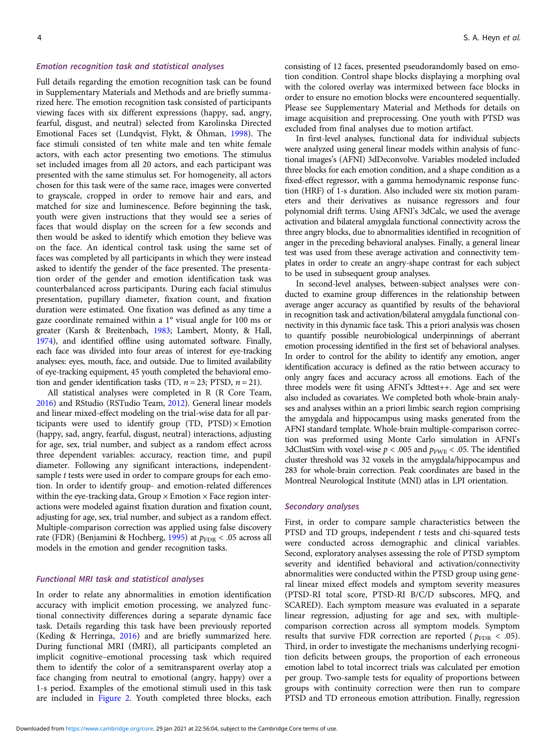#### Emotion recognition task and statistical analyses

Full details regarding the emotion recognition task can be found in Supplementary Materials and Methods and are briefly summarized here. The emotion recognition task consisted of participants viewing faces with six different expressions (happy, sad, angry, fearful, disgust, and neutral) selected from Karolinska Directed Emotional Faces set (Lundqvist, Flykt, & Öhman, [1998\)](#page-10-0). The face stimuli consisted of ten white male and ten white female actors, with each actor presenting two emotions. The stimulus set included images from all 20 actors, and each participant was presented with the same stimulus set. For homogeneity, all actors chosen for this task were of the same race, images were converted to grayscale, cropped in order to remove hair and ears, and matched for size and luminescence. Before beginning the task, youth were given instructions that they would see a series of faces that would display on the screen for a few seconds and then would be asked to identify which emotion they believe was on the face. An identical control task using the same set of faces was completed by all participants in which they were instead asked to identify the gender of the face presented. The presentation order of the gender and emotion identification task was counterbalanced across participants. During each facial stimulus presentation, pupillary diameter, fixation count, and fixation duration were estimated. One fixation was defined as any time a gaze coordinate remained within a 1° visual angle for 100 ms or greater (Karsh & Breitenbach, [1983](#page-9-0); Lambert, Monty, & Hall, [1974](#page-9-0)), and identified offline using automated software. Finally, each face was divided into four areas of interest for eye-tracking analyses: eyes, mouth, face, and outside. Due to limited availability of eye-tracking equipment, 45 youth completed the behavioral emotion and gender identification tasks (TD,  $n = 23$ ; PTSD,  $n = 21$ ).

All statistical analyses were completed in R (R Core Team, [2016](#page-10-0)) and RStudio (RSTudio Team, [2012\)](#page-10-0). General linear models and linear mixed-effect modeling on the trial-wise data for all participants were used to identify group (TD, PTSD)  $\times$  Emotion (happy, sad, angry, fearful, disgust, neutral) interactions, adjusting for age, sex, trial number, and subject as a random effect across three dependent variables: accuracy, reaction time, and pupil diameter. Following any significant interactions, independentsample t tests were used in order to compare groups for each emotion. In order to identify group- and emotion-related differences within the eye-tracking data, Group  $\times$  Emotion  $\times$  Face region interactions were modeled against fixation duration and fixation count, adjusting for age, sex, trial number, and subject as a random effect. Multiple-comparison correction was applied using false discovery rate (FDR) (Benjamini & Hochberg, [1995\)](#page-8-0) at  $p_{\text{FDR}} < .05$  across all models in the emotion and gender recognition tasks.

# Functional MRI task and statistical analyses

In order to relate any abnormalities in emotion identification accuracy with implicit emotion processing, we analyzed functional connectivity differences during a separate dynamic face task. Details regarding this task have been previously reported (Keding & Herringa, [2016](#page-9-0)) and are briefly summarized here. During functional MRI (fMRI), all participants completed an implicit cognitive–emotional processing task which required them to identify the color of a semitransparent overlay atop a face changing from neutral to emotional (angry, happy) over a 1-s period. Examples of the emotional stimuli used in this task are included in [Figure 2](#page-5-0). Youth completed three blocks, each

consisting of 12 faces, presented pseudorandomly based on emotion condition. Control shape blocks displaying a morphing oval with the colored overlay was intermixed between face blocks in order to ensure no emotion blocks were encountered sequentially. Please see Supplementary Material and Methods for details on image acquisition and preprocessing. One youth with PTSD was excluded from final analyses due to motion artifact.

In first-level analyses, functional data for individual subjects were analyzed using general linear models within analysis of functional images's (AFNI) 3dDeconvolve. Variables modeled included three blocks for each emotion condition, and a shape condition as a fixed-effect regressor, with a gamma hemodynamic response function (HRF) of 1-s duration. Also included were six motion parameters and their derivatives as nuisance regressors and four polynomial drift terms. Using AFNI's 3dCalc, we used the average activation and bilateral amygdala functional connectivity across the three angry blocks, due to abnormalities identified in recognition of anger in the preceding behavioral analyses. Finally, a general linear test was used from these average activation and connectivity templates in order to create an angry-shape contrast for each subject to be used in subsequent group analyses.

In second-level analyses, between-subject analyses were conducted to examine group differences in the relationship between average anger accuracy as quantified by results of the behavioral in recognition task and activation/bilateral amygdala functional connectivity in this dynamic face task. This a priori analysis was chosen to quantify possible neurobiological underpinnings of aberrant emotion processing identified in the first set of behavioral analyses. In order to control for the ability to identify any emotion, anger identification accuracy is defined as the ratio between accuracy to only angry faces and accuracy across all emotions. Each of the three models were fit using AFNI's 3dttest++. Age and sex were also included as covariates. We completed both whole-brain analyses and analyses within an a priori limbic search region comprising the amygdala and hippocampus using masks generated from the AFNI standard template. Whole-brain multiple-comparison correction was preformed using Monte Carlo simulation in AFNI's 3dClustSim with voxel-wise  $p < .005$  and  $p_{\text{FWE}} < .05$ . The identified cluster threshold was 32 voxels in the amygdala/hippocampus and 283 for whole-brain correction. Peak coordinates are based in the Montreal Neurological Institute (MNI) atlas in LPI orientation.

#### Secondary analyses

First, in order to compare sample characteristics between the PTSD and TD groups, independent  $t$  tests and chi-squared tests were conducted across demographic and clinical variables. Second, exploratory analyses assessing the role of PTSD symptom severity and identified behavioral and activation/connectivity abnormalities were conducted within the PTSD group using general linear mixed effect models and symptom severity measures (PTSD-RI total score, PTSD-RI B/C/D subscores, MFQ, and SCARED). Each symptom measure was evaluated in a separate linear regression, adjusting for age and sex, with multiplecomparison correction across all symptom models. Symptom results that survive FDR correction are reported ( $p_{\text{FDR}} < .05$ ). Third, in order to investigate the mechanisms underlying recognition deficits between groups, the proportion of each erroneous emotion label to total incorrect trials was calculated per emotion per group. Two-sample tests for equality of proportions between groups with continuity correction were then run to compare PTSD and TD erroneous emotion attribution. Finally, regression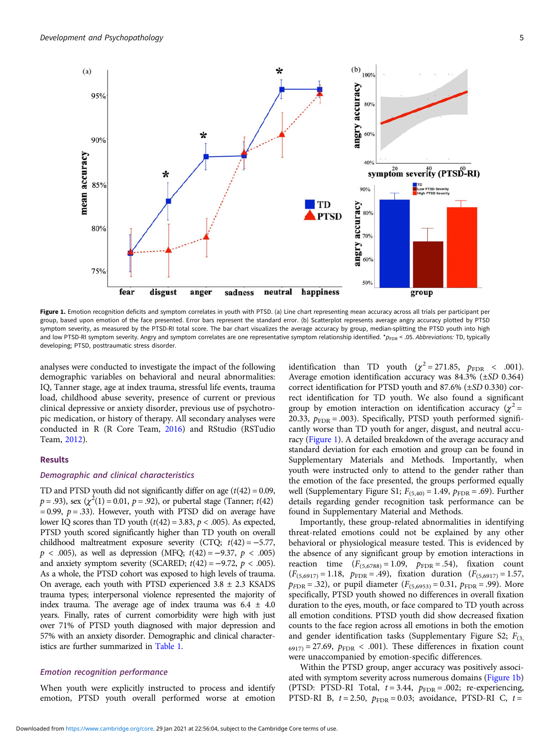95%

90%

85%

80%

75%

mean accuracy

<span id="page-4-0"></span> $(a)$ 



50% fear disgust happiness anger sadness neutral group

Figure 1. Emotion recognition deficits and symptom correlates in youth with PTSD. (a) Line chart representing mean accuracy across all trials per participant per group, based upon emotion of the face presented. Error bars represent the standard error. (b) Scatterplot represents average angry accuracy plotted by PTSD symptom severity, as measured by the PTSD-RI total score. The bar chart visualizes the average accuracy by group, median-splitting the PTSD youth into high and low PTSD-RI symptom severity. Angry and symptom correlates are one representative symptom relationship identified.  $*_{P<sub>FDR</sub>}$  < .05. Abbreviations: TD, typically developing; PTSD, posttraumatic stress disorder.

analyses were conducted to investigate the impact of the following demographic variables on behavioral and neural abnormalities: IQ, Tanner stage, age at index trauma, stressful life events, trauma load, childhood abuse severity, presence of current or previous clinical depressive or anxiety disorder, previous use of psychotropic medication, or history of therapy. All secondary analyses were conducted in R (R Core Team, [2016](#page-10-0)) and RStudio (RSTudio Team, [2012](#page-10-0)).

# Results

# Demographic and clinical characteristics

TD and PTSD youth did not significantly differ on age  $(t(42) = 0.09$ ,  $p = .93$ ), sex ( $\chi^2(1) = 0.01$ ,  $p = .92$ ), or pubertal stage (Tanner;  $t(42)$ )  $= 0.99$ ,  $p = .33$ ). However, youth with PTSD did on average have lower IQ scores than TD youth  $(t(42) = 3.83, p < .005)$ . As expected, PTSD youth scored significantly higher than TD youth on overall childhood maltreatment exposure severity (CTQ; t(42) = −5.77,  $p < .005$ ), as well as depression (MFQ;  $t(42) = -9.37, p < .005$ ) and anxiety symptom severity (SCARED;  $t(42) = -9.72$ ,  $p < .005$ ). As a whole, the PTSD cohort was exposed to high levels of trauma. On average, each youth with PTSD experienced  $3.8 \pm 2.3$  KSADS trauma types; interpersonal violence represented the majority of index trauma. The average age of index trauma was  $6.4 \pm 4.0$ years. Finally, rates of current comorbidity were high with just over 71% of PTSD youth diagnosed with major depression and 57% with an anxiety disorder. Demographic and clinical characteristics are further summarized in [Table 1](#page-2-0).

# Emotion recognition performance

When youth were explicitly instructed to process and identify emotion, PTSD youth overall performed worse at emotion

identification than TD youth ( $\chi^2 = 271.85$ ,  $p_{\text{FDR}} < .001$ ). Average emotion identification accuracy was 84.3% (±SD 0.364) correct identification for PTSD youth and 87.6% (±SD 0.330) correct identification for TD youth. We also found a significant group by emotion interaction on identification accuracy ( $\chi^2$  = 20.33,  $p_{\text{FDR}}$  = .003). Specifically, PTSD youth performed significantly worse than TD youth for anger, disgust, and neutral accuracy (Figure 1). A detailed breakdown of the average accuracy and standard deviation for each emotion and group can be found in Supplementary Materials and Methods. Importantly, when youth were instructed only to attend to the gender rather than the emotion of the face presented, the groups performed equally well (Supplementary Figure S1;  $F_{(5,40)} = 1.49$ ,  $p_{\text{FDR}} = .69$ ). Further details regarding gender recognition task performance can be found in Supplementary Material and Methods.

60%

Importantly, these group-related abnormalities in identifying threat-related emotions could not be explained by any other behavioral or physiological measure tested. This is evidenced by the absence of any significant group by emotion interactions in reaction time  $(F_{(5,6788)} = 1.09, p_{\text{FDR}} = .54)$ , fixation count  $(F_{(5,6917)} = 1.18, p_{\text{FDR}} = .49),$  fixation duration  $(F_{(5,6917)} = 1.57,$  $p_{FDR} = .32$ ), or pupil diameter ( $F_{(5,6953)} = 0.31$ ,  $p_{FDR} = .99$ ). More specifically, PTSD youth showed no differences in overall fixation duration to the eyes, mouth, or face compared to TD youth across all emotion conditions. PTSD youth did show decreased fixation counts to the face region across all emotions in both the emotion and gender identification tasks (Supplementary Figure S2;  $F_{(3)}$  $_{6917}$  = 27.69,  $p_{\text{FDR}}$  < .001). These differences in fixation count were unaccompanied by emotion-specific differences.

Within the PTSD group, anger accuracy was positively associated with symptom severity across numerous domains (Figure 1b) (PTSD: PTSD-RI Total,  $t = 3.44$ ,  $p_{\text{FDR}} = .002$ ; re-experiencing, PTSD-RI B,  $t = 2.50$ ,  $p_{\text{FDR}} = 0.03$ ; avoidance, PTSD-RI C,  $t =$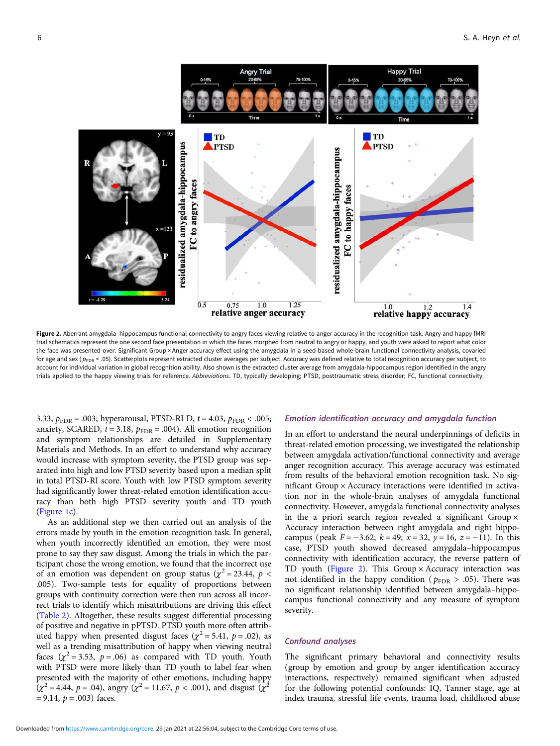<span id="page-5-0"></span>

Figure 2. Aberrant amygdala-hippocampus functional connectivity to angry faces viewing relative to anger accuracy in the recognition task. Angry and happy fMRI trial schematics represent the one second face presentation in which the faces morphed from neutral to angry or happy, and youth were asked to report what color the face was presented over. Significant Group × Anger accuracy effect using the amygdala in a seed-based whole-brain functional connectivity analysis, covaried for age and sex ( $p_{FDR}$  < .05). Scatterplots represent extracted cluster averages per subject. Accuracy was defined relative to total recognition accuracy per subject, to account for individual variation in global recognition ability. Also shown is the extracted cluster average from amygdala-hippocampus region identified in the angry trials applied to the happy viewing trials for reference. Abbreviations. TD, typically developing; PTSD, posttraumatic stress disorder; FC, functional connectivity.

3.33,  $p_{\text{FDR}} = .003$ ; hyperarousal, PTSD-RI D,  $t = 4.03$ ,  $p_{\text{FDR}} < .005$ ; anxiety, SCARED,  $t = 3.18$ ,  $p_{\text{FDR}} = .004$ ). All emotion recognition and symptom relationships are detailed in Supplementary Materials and Methods. In an effort to understand why accuracy would increase with symptom severity, the PTSD group was separated into high and low PTSD severity based upon a median split in total PTSD-RI score. Youth with low PTSD symptom severity had significantly lower threat-related emotion identification accuracy than both high PTSD severity youth and TD youth ([Figure 1c](#page-4-0)).

As an additional step we then carried out an analysis of the errors made by youth in the emotion recognition task. In general, when youth incorrectly identified an emotion, they were most prone to say they saw disgust. Among the trials in which the participant chose the wrong emotion, we found that the incorrect use of an emotion was dependent on group status ( $\chi^2$  = 23.44,  $p$  < .005). Two-sample tests for equality of proportions between groups with continuity correction were then run across all incorrect trials to identify which misattributions are driving this effect ([Table 2](#page-6-0)). Altogether, these results suggest differential processing of positive and negative in pPTSD. PTSD youth more often attributed happy when presented disgust faces ( $\chi^2$  = 5.41, p = .02), as well as a trending misattribution of happy when viewing neutral faces  $(\chi^2 = 3.53, p = .06)$  as compared with TD youth. Youth with PTSD were more likely than TD youth to label fear when presented with the majority of other emotions, including happy  $(\chi^2 = 4.44, p = .04)$ , angry  $(\chi^2 = 11.67, p < .001)$ , and disgust  $(\chi^2$  $= 9.14, p = .003$ ) faces.

# Emotion identification accuracy and amygdala function

In an effort to understand the neural underpinnings of deficits in threat-related emotion processing, we investigated the relationship between amygdala activation/functional connectivity and average anger recognition accuracy. This average accuracy was estimated from results of the behavioral emotion recognition task. No significant Group  $\times$  Accuracy interactions were identified in activation nor in the whole-brain analyses of amygdala functional connectivity. However, amygdala functional connectivity analyses in the a priori search region revealed a significant Group  $\times$ Accuracy interaction between right amygdala and right hippocampus (peak  $F = -3.62$ ;  $k = 49$ ;  $x = 32$ ,  $y = 16$ ,  $z = -11$ ). In this case, PTSD youth showed decreased amygdala–hippocampus connectivity with identification accuracy, the reverse pattern of TD youth (Figure 2). This Group  $\times$  Accuracy interaction was not identified in the happy condition ( $p_{\text{FDR}} > .05$ ). There was no significant relationship identified between amygdala–hippocampus functional connectivity and any measure of symptom severity.

#### Confound analyses

The significant primary behavioral and connectivity results (group by emotion and group by anger identification accuracy interactions, respectively) remained significant when adjusted for the following potential confounds: IQ, Tanner stage, age at index trauma, stressful life events, trauma load, childhood abuse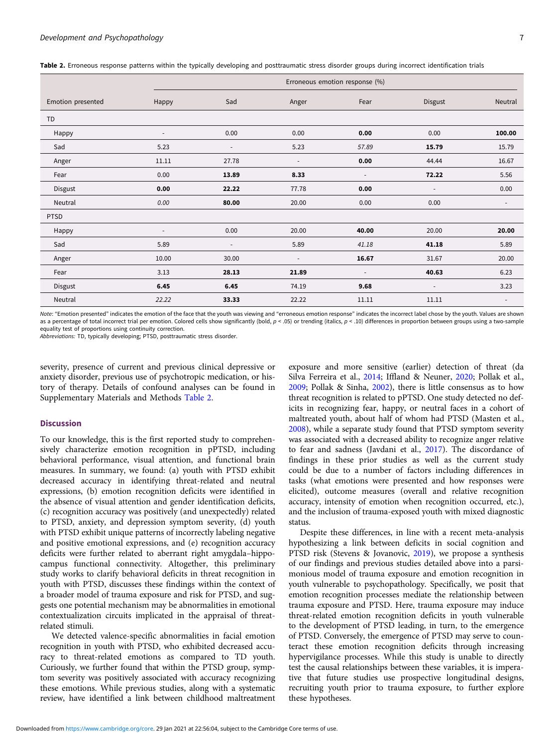<span id="page-6-0"></span>

| Table 2. Erroneous response patterns within the typically developing and posttraumatic stress disorder groups during incorrect identification trials |  |  |  |
|------------------------------------------------------------------------------------------------------------------------------------------------------|--|--|--|
|------------------------------------------------------------------------------------------------------------------------------------------------------|--|--|--|

|                   |                          | Erroneous emotion response (%) |                          |                          |                          |                          |  |  |
|-------------------|--------------------------|--------------------------------|--------------------------|--------------------------|--------------------------|--------------------------|--|--|
| Emotion presented | Happy                    | Sad                            | Anger                    | Fear                     | Disgust                  | Neutral                  |  |  |
| TD                |                          |                                |                          |                          |                          |                          |  |  |
| Happy             | $\overline{\phantom{a}}$ | 0.00                           | 0.00                     | 0.00                     | 0.00                     | 100.00                   |  |  |
| Sad               | 5.23                     | $\overline{\phantom{a}}$       | 5.23                     | 57.89                    | 15.79                    | 15.79                    |  |  |
| Anger             | 11.11                    | 27.78                          | $\overline{\phantom{a}}$ | 0.00                     | 44.44                    | 16.67                    |  |  |
| Fear              | 0.00                     | 13.89                          | 8.33                     | $\overline{\phantom{a}}$ | 72.22                    | 5.56                     |  |  |
| Disgust           | 0.00                     | 22.22                          | 77.78                    | 0.00                     | $\overline{\phantom{a}}$ | 0.00                     |  |  |
| Neutral           | 0.00                     | 80.00                          | 20.00                    | 0.00                     | 0.00                     | $\overline{\phantom{a}}$ |  |  |
| <b>PTSD</b>       |                          |                                |                          |                          |                          |                          |  |  |
| Happy             | ٠                        | 0.00                           | 20.00                    | 40.00                    | 20.00                    | 20.00                    |  |  |
| Sad               | 5.89                     | $\qquad \qquad \blacksquare$   | 5.89                     | 41.18                    | 41.18                    | 5.89                     |  |  |
| Anger             | 10.00                    | 30.00                          | $\overline{\phantom{a}}$ | 16.67                    | 31.67                    | 20.00                    |  |  |
| Fear              | 3.13                     | 28.13                          | 21.89                    | $\overline{\phantom{a}}$ | 40.63                    | 6.23                     |  |  |
| Disgust           | 6.45                     | 6.45                           | 74.19                    | 9.68                     | $\overline{\phantom{a}}$ | 3.23                     |  |  |
| Neutral           | 22.22                    | 33.33                          | 22.22                    | 11.11                    | 11.11                    | $\overline{\phantom{a}}$ |  |  |

Note: "Emotion presented" indicates the emotion of the face that the youth was viewing and "erroneous emotion response" indicates the incorrect label chose by the youth. Values are shown as a percentage of total incorrect trial per emotion. Colored cells show significantly (bold,  $p < .05$ ) or trending (italics,  $p < .10$ ) differences in proportion between groups using a two-sample equality test of proportions using continuity correction.

Abbreviations: TD, typically developing; PTSD, posttraumatic stress disorder.

severity, presence of current and previous clinical depressive or anxiety disorder, previous use of psychotropic medication, or history of therapy. Details of confound analyses can be found in Supplementary Materials and Methods Table 2.

#### **Discussion**

To our knowledge, this is the first reported study to comprehensively characterize emotion recognition in pPTSD, including behavioral performance, visual attention, and functional brain measures. In summary, we found: (a) youth with PTSD exhibit decreased accuracy in identifying threat-related and neutral expressions, (b) emotion recognition deficits were identified in the absence of visual attention and gender identification deficits, (c) recognition accuracy was positively (and unexpectedly) related to PTSD, anxiety, and depression symptom severity, (d) youth with PTSD exhibit unique patterns of incorrectly labeling negative and positive emotional expressions, and (e) recognition accuracy deficits were further related to aberrant right amygdala–hippocampus functional connectivity. Altogether, this preliminary study works to clarify behavioral deficits in threat recognition in youth with PTSD, discusses these findings within the context of a broader model of trauma exposure and risk for PTSD, and suggests one potential mechanism may be abnormalities in emotional contextualization circuits implicated in the appraisal of threatrelated stimuli.

We detected valence-specific abnormalities in facial emotion recognition in youth with PTSD, who exhibited decreased accuracy to threat-related emotions as compared to TD youth. Curiously, we further found that within the PTSD group, symptom severity was positively associated with accuracy recognizing these emotions. While previous studies, along with a systematic review, have identified a link between childhood maltreatment

exposure and more sensitive (earlier) detection of threat (da Silva Ferreira et al., [2014;](#page-9-0) Iffland & Neuner, [2020;](#page-9-0) Pollak et al., [2009](#page-10-0); Pollak & Sinha, [2002](#page-10-0)), there is little consensus as to how threat recognition is related to pPTSD. One study detected no deficits in recognizing fear, happy, or neutral faces in a cohort of maltreated youth, about half of whom had PTSD (Masten et al., [2008](#page-10-0)), while a separate study found that PTSD symptom severity was associated with a decreased ability to recognize anger relative to fear and sadness (Javdani et al., [2017](#page-9-0)). The discordance of findings in these prior studies as well as the current study could be due to a number of factors including differences in tasks (what emotions were presented and how responses were elicited), outcome measures (overall and relative recognition accuracy, intensity of emotion when recognition occurred, etc.), and the inclusion of trauma-exposed youth with mixed diagnostic status.

Despite these differences, in line with a recent meta-analysis hypothesizing a link between deficits in social cognition and PTSD risk (Stevens & Jovanovic, [2019\)](#page-10-0), we propose a synthesis of our findings and previous studies detailed above into a parsimonious model of trauma exposure and emotion recognition in youth vulnerable to psychopathology. Specifically, we posit that emotion recognition processes mediate the relationship between trauma exposure and PTSD. Here, trauma exposure may induce threat-related emotion recognition deficits in youth vulnerable to the development of PTSD leading, in turn, to the emergence of PTSD. Conversely, the emergence of PTSD may serve to counteract these emotion recognition deficits through increasing hypervigilance processes. While this study is unable to directly test the causal relationships between these variables, it is imperative that future studies use prospective longitudinal designs, recruiting youth prior to trauma exposure, to further explore these hypotheses.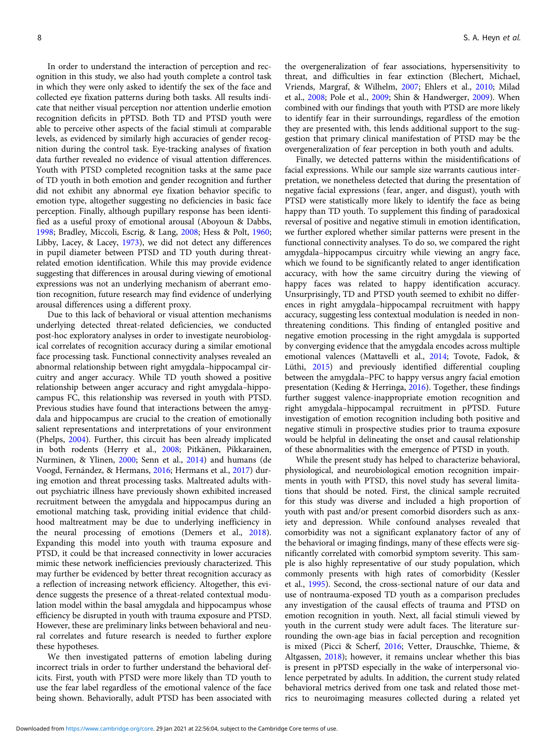In order to understand the interaction of perception and recognition in this study, we also had youth complete a control task in which they were only asked to identify the sex of the face and collected eye fixation patterns during both tasks. All results indicate that neither visual perception nor attention underlie emotion recognition deficits in pPTSD. Both TD and PTSD youth were able to perceive other aspects of the facial stimuli at comparable levels, as evidenced by similarly high accuracies of gender recognition during the control task. Eye-tracking analyses of fixation data further revealed no evidence of visual attention differences. Youth with PTSD completed recognition tasks at the same pace of TD youth in both emotion and gender recognition and further did not exhibit any abnormal eye fixation behavior specific to emotion type, altogether suggesting no deficiencies in basic face perception. Finally, although pupillary response has been identified as a useful proxy of emotional arousal (Aboyoun & Dabbs, [1998;](#page-8-0) Bradley, Miccoli, Escrig, & Lang, [2008](#page-8-0); Hess & Polt, [1960;](#page-9-0) Libby, Lacey, & Lacey, [1973\)](#page-9-0), we did not detect any differences in pupil diameter between PTSD and TD youth during threatrelated emotion identification. While this may provide evidence suggesting that differences in arousal during viewing of emotional expressions was not an underlying mechanism of aberrant emotion recognition, future research may find evidence of underlying arousal differences using a different proxy.

Due to this lack of behavioral or visual attention mechanisms underlying detected threat-related deficiencies, we conducted post-hoc exploratory analyses in order to investigate neurobiological correlates of recognition accuracy during a similar emotional face processing task. Functional connectivity analyses revealed an abnormal relationship between right amygdala–hippocampal circuitry and anger accuracy. While TD youth showed a positive relationship between anger accuracy and right amygdala–hippocampus FC, this relationship was reversed in youth with PTSD. Previous studies have found that interactions between the amygdala and hippocampus are crucial to the creation of emotionally salient representations and interpretations of your environment (Phelps, [2004\)](#page-10-0). Further, this circuit has been already implicated in both rodents (Herry et al., [2008](#page-9-0); Pitkänen, Pikkarainen, Nurminen, & Ylinen, [2000](#page-10-0); Senn et al., [2014](#page-10-0)) and humans (de Voogd, Fernández, & Hermans, [2016;](#page-9-0) Hermans et al., [2017](#page-9-0)) during emotion and threat processing tasks. Maltreated adults without psychiatric illness have previously shown exhibited increased recruitment between the amygdala and hippocampus during an emotional matching task, providing initial evidence that childhood maltreatment may be due to underlying inefficiency in the neural processing of emotions (Demers et al., [2018\)](#page-9-0). Expanding this model into youth with trauma exposure and PTSD, it could be that increased connectivity in lower accuracies mimic these network inefficiencies previously characterized. This may further be evidenced by better threat recognition accuracy as a reflection of increasing network efficiency. Altogether, this evidence suggests the presence of a threat-related contextual modulation model within the basal amygdala and hippocampus whose efficiency be disrupted in youth with trauma exposure and PTSD. However, these are preliminary links between behavioral and neural correlates and future research is needed to further explore these hypotheses.

We then investigated patterns of emotion labeling during incorrect trials in order to further understand the behavioral deficits. First, youth with PTSD were more likely than TD youth to use the fear label regardless of the emotional valence of the face being shown. Behaviorally, adult PTSD has been associated with the overgeneralization of fear associations, hypersensitivity to threat, and difficulties in fear extinction (Blechert, Michael, Vriends, Margraf, & Wilhelm, [2007;](#page-8-0) Ehlers et al., [2010;](#page-9-0) Milad et al., [2008;](#page-10-0) Pole et al., [2009](#page-10-0); Shin & Handwerger, [2009](#page-10-0)). When combined with our findings that youth with PTSD are more likely to identify fear in their surroundings, regardless of the emotion they are presented with, this lends additional support to the suggestion that primary clinical manifestation of PTSD may be the overgeneralization of fear perception in both youth and adults.

Finally, we detected patterns within the misidentifications of facial expressions. While our sample size warrants cautious interpretation, we nonetheless detected that during the presentation of negative facial expressions (fear, anger, and disgust), youth with PTSD were statistically more likely to identify the face as being happy than TD youth. To supplement this finding of paradoxical reversal of positive and negative stimuli in emotion identification, we further explored whether similar patterns were present in the functional connectivity analyses. To do so, we compared the right amygdala–hippocampus circuitry while viewing an angry face, which we found to be significantly related to anger identification accuracy, with how the same circuitry during the viewing of happy faces was related to happy identification accuracy. Unsurprisingly, TD and PTSD youth seemed to exhibit no differences in right amygdala–hippocampal recruitment with happy accuracy, suggesting less contextual modulation is needed in nonthreatening conditions. This finding of entangled positive and negative emotion processing in the right amygdala is supported by converging evidence that the amygdala encodes across multiple emotional valences (Mattavelli et al., [2014;](#page-10-0) Tovote, Fadok, & Lüthi, [2015\)](#page-10-0) and previously identified differential coupling between the amygdala–PFC to happy versus angry facial emotion presentation (Keding & Herringa, [2016\)](#page-9-0). Together, these findings further suggest valence-inappropriate emotion recognition and right amygdala–hippocampal recruitment in pPTSD. Future investigation of emotion recognition including both positive and negative stimuli in prospective studies prior to trauma exposure would be helpful in delineating the onset and causal relationship of these abnormalities with the emergence of PTSD in youth.

While the present study has helped to characterize behavioral, physiological, and neurobiological emotion recognition impairments in youth with PTSD, this novel study has several limitations that should be noted. First, the clinical sample recruited for this study was diverse and included a high proportion of youth with past and/or present comorbid disorders such as anxiety and depression. While confound analyses revealed that comorbidity was not a significant explanatory factor of any of the behavioral or imaging findings, many of these effects were significantly correlated with comorbid symptom severity. This sample is also highly representative of our study population, which commonly presents with high rates of comorbidity (Kessler et al., [1995](#page-9-0)). Second, the cross-sectional nature of our data and use of nontrauma-exposed TD youth as a comparison precludes any investigation of the causal effects of trauma and PTSD on emotion recognition in youth. Next, all facial stimuli viewed by youth in the current study were adult faces. The literature surrounding the own-age bias in facial perception and recognition is mixed (Picci & Scherf, [2016;](#page-10-0) Vetter, Drauschke, Thieme, & Altgassen, [2018\)](#page-10-0); however, it remains unclear whether this bias is present in pPTSD especially in the wake of interpersonal violence perpetrated by adults. In addition, the current study related behavioral metrics derived from one task and related those metrics to neuroimaging measures collected during a related yet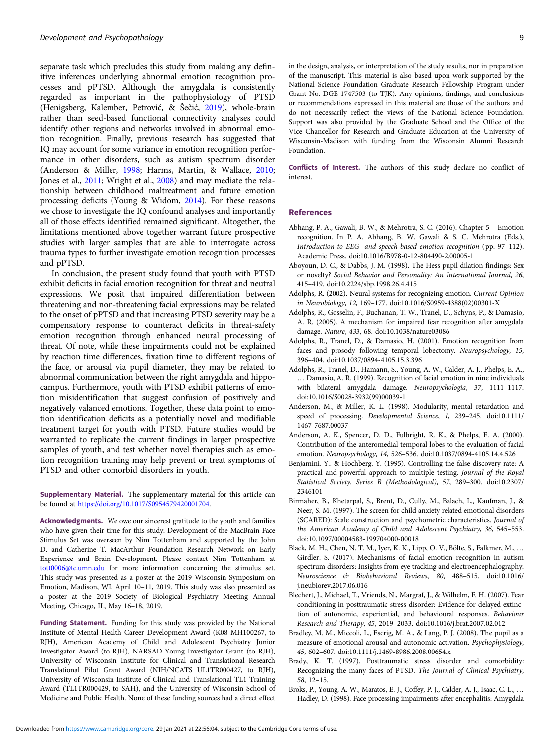<span id="page-8-0"></span>separate task which precludes this study from making any definitive inferences underlying abnormal emotion recognition processes and pPTSD. Although the amygdala is consistently regarded as important in the pathophysiology of PTSD (Henigsberg, Kalember, Petrović, & Šečić, [2019](#page-9-0)), whole-brain rather than seed-based functional connectivity analyses could identify other regions and networks involved in abnormal emotion recognition. Finally, previous research has suggested that IQ may account for some variance in emotion recognition performance in other disorders, such as autism spectrum disorder (Anderson & Miller, 1998; Harms, Martin, & Wallace, [2010;](#page-9-0) Jones et al., [2011;](#page-9-0) Wright et al., [2008\)](#page-10-0) and may mediate the relationship between childhood maltreatment and future emotion processing deficits (Young & Widom, [2014\)](#page-10-0). For these reasons we chose to investigate the IQ confound analyses and importantly all of those effects identified remained significant. Altogether, the limitations mentioned above together warrant future prospective studies with larger samples that are able to interrogate across trauma types to further investigate emotion recognition processes and pPTSD.

In conclusion, the present study found that youth with PTSD exhibit deficits in facial emotion recognition for threat and neutral expressions. We posit that impaired differentiation between threatening and non-threatening facial expressions may be related to the onset of pPTSD and that increasing PTSD severity may be a compensatory response to counteract deficits in threat-safety emotion recognition through enhanced neural processing of threat. Of note, while these impairments could not be explained by reaction time differences, fixation time to different regions of the face, or arousal via pupil diameter, they may be related to abnormal communication between the right amygdala and hippocampus. Furthermore, youth with PTSD exhibit patterns of emotion misidentification that suggest confusion of positively and negatively valanced emotions. Together, these data point to emotion identification deficits as a potentially novel and modifiable treatment target for youth with PTSD. Future studies would be warranted to replicate the current findings in larger prospective samples of youth, and test whether novel therapies such as emotion recognition training may help prevent or treat symptoms of PTSD and other comorbid disorders in youth.

Supplementary Material. The supplementary material for this article can be found at [https://doi.org/10.1017/S0954579420001704.](https://doi.org/10.1017/S0954579420001704)

Acknowledgments. We owe our sincerest gratitude to the youth and families who have given their time for this study. Development of the MacBrain Face Stimulus Set was overseen by Nim Tottenham and supported by the John D. and Catherine T. MacArthur Foundation Research Network on Early Experience and Brain Development. Please contact Nim Tottenham at [tott0006@tc.umn.edu](mailto:tott0006@tc.umn.edu) for more information concerning the stimulus set. This study was presented as a poster at the 2019 Wisconsin Symposium on Emotion, Madison, WI, April 10–11, 2019. This study was also presented as a poster at the 2019 Society of Biological Psychiatry Meeting Annual Meeting, Chicago, IL, May 16–18, 2019.

Funding Statement. Funding for this study was provided by the National Institute of Mental Health Career Development Award (K08 MH100267, to RJH), American Academy of Child and Adolescent Psychiatry Junior Investigator Award (to RJH), NARSAD Young Investigator Grant (to RJH), University of Wisconsin Institute for Clinical and Translational Research Translational Pilot Grant Award (NIH/NCATS UL1TR000427, to RJH), University of Wisconsin Institute of Clinical and Translational TL1 Training Award (TL1TR000429, to SAH), and the University of Wisconsin School of Medicine and Public Health. None of these funding sources had a direct effect in the design, analysis, or interpretation of the study results, nor in preparation of the manuscript. This material is also based upon work supported by the National Science Foundation Graduate Research Fellowship Program under Grant No. DGE-1747503 (to TJK). Any opinions, findings, and conclusions or recommendations expressed in this material are those of the authors and do not necessarily reflect the views of the National Science Foundation. Support was also provided by the Graduate School and the Office of the Vice Chancellor for Research and Graduate Education at the University of Wisconsin-Madison with funding from the Wisconsin Alumni Research Foundation.

Conflicts of Interest. The authors of this study declare no conflict of interest.

#### References

- Abhang, P. A., Gawali, B. W., & Mehrotra, S. C. (2016). Chapter 5 Emotion recognition. In P. A. Abhang, B. W. Gawali & S. C. Mehrotra (Eds.), Introduction to EEG- and speech-based emotion recognition (pp. 97–112). Academic Press. doi:10.1016/B978-0-12-804490-2.00005-1
- Aboyoun, D. C., & Dabbs, J. M. (1998). The Hess pupil dilation findings: Sex or novelty? Social Behavior and Personality: An International Journal, 26, 415–419. doi:10.2224/sbp.1998.26.4.415
- Adolphs, R. (2002). Neural systems for recognizing emotion. Current Opinion in Neurobiology, 12, 169–177. doi:10.1016/S0959-4388(02)00301-X
- Adolphs, R., Gosselin, F., Buchanan, T. W., Tranel, D., Schyns, P., & Damasio, A. R. (2005). A mechanism for impaired fear recognition after amygdala damage. Nature, 433, 68. doi:10.1038/nature03086
- Adolphs, R., Tranel, D., & Damasio, H. (2001). Emotion recognition from faces and prosody following temporal lobectomy. Neuropsychology, 15, 396–404. doi:10.1037/0894-4105.15.3.396
- Adolphs, R., Tranel, D., Hamann, S., Young, A. W., Calder, A. J., Phelps, E. A., … Damasio, A. R. (1999). Recognition of facial emotion in nine individuals with bilateral amygdala damage. Neuropsychologia, 37, 1111–1117. doi:10.1016/S0028-3932(99)00039-1
- Anderson, M., & Miller, K. L. (1998). Modularity, mental retardation and speed of processing. Developmental Science, 1, 239–245. doi:10.1111/ 1467-7687.00037
- Anderson, A. K., Spencer, D. D., Fulbright, R. K., & Phelps, E. A. (2000). Contribution of the anteromedial temporal lobes to the evaluation of facial emotion. Neuropsychology, 14, 526–536. doi:10.1037/0894-4105.14.4.526
- Benjamini, Y., & Hochberg, Y. (1995). Controlling the false discovery rate: A practical and powerful approach to multiple testing. Journal of the Royal Statistical Society. Series B (Methodological), 57, 289–300. doi:10.2307/ 2346101
- Birmaher, B., Khetarpal, S., Brent, D., Cully, M., Balach, L., Kaufman, J., & Neer, S. M. (1997). The screen for child anxiety related emotional disorders (SCARED): Scale construction and psychometric characteristics. Journal of the American Academy of Child and Adolescent Psychiatry, 36, 545–553. doi:10.1097/00004583-199704000-00018
- Black, M. H., Chen, N. T. M., Iyer, K. K., Lipp, O. V., Bölte, S., Falkmer, M., … Girdler, S. (2017). Mechanisms of facial emotion recognition in autism spectrum disorders: Insights from eye tracking and electroencephalography. Neuroscience & Biobehavioral Reviews, 80, 488–515. doi:10.1016/ j.neubiorev.2017.06.016
- Blechert, J., Michael, T., Vriends, N., Margraf, J., & Wilhelm, F. H. (2007). Fear conditioning in posttraumatic stress disorder: Evidence for delayed extinction of autonomic, experiential, and behavioural responses. Behaviour Research and Therapy, 45, 2019–2033. doi:10.1016/j.brat.2007.02.012
- Bradley, M. M., Miccoli, L., Escrig, M. A., & Lang, P. J. (2008). The pupil as a measure of emotional arousal and autonomic activation. Psychophysiology, 45, 602–607. doi:10.1111/j.1469-8986.2008.00654.x
- Brady, K. T. (1997). Posttraumatic stress disorder and comorbidity: Recognizing the many faces of PTSD. The Journal of Clinical Psychiatry, 58, 12–15.
- Broks, P., Young, A. W., Maratos, E. J., Coffey, P. J., Calder, A. J., Isaac, C. L., … Hadley, D. (1998). Face processing impairments after encephalitis: Amygdala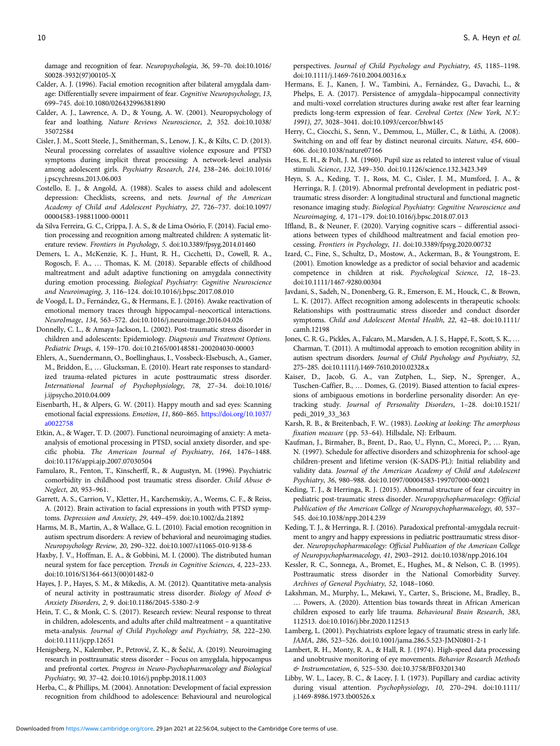<span id="page-9-0"></span>damage and recognition of fear. Neuropsychologia, 36, 59–70. doi:10.1016/ S0028-3932(97)00105-X

- Calder, A. J. (1996). Facial emotion recognition after bilateral amygdala damage: Differentially severe impairment of fear. Cognitive Neuropsychology, 13, 699–745. doi:10.1080/026432996381890
- Calder, A. J., Lawrence, A. D., & Young, A. W. (2001). Neuropsychology of fear and loathing. Nature Reviews Neuroscience, 2, 352. doi:10.1038/ 35072584
- Cisler, J. M., Scott Steele, J., Smitherman, S., Lenow, J. K., & Kilts, C. D. (2013). Neural processing correlates of assaultive violence exposure and PTSD symptoms during implicit threat processing: A network-level analysis among adolescent girls. Psychiatry Research, 214, 238–246. doi:10.1016/ j.pscychresns.2013.06.003
- Costello, E. J., & Angold, A. (1988). Scales to assess child and adolescent depression: Checklists, screens, and nets. Journal of the American Academy of Child and Adolescent Psychiatry, 27, 726–737. doi:10.1097/ 00004583-198811000-00011
- da Silva Ferreira, G. C., Crippa, J. A. S., & de Lima Osório, F. (2014). Facial emotion processing and recognition among maltreated children: A systematic literature review. Frontiers in Psychology, 5. doi:10.3389/fpsyg.2014.01460
- Demers, L. A., McKenzie, K. J., Hunt, R. H., Cicchetti, D., Cowell, R. A., Rogosch, F. A., … Thomas, K. M. (2018). Separable effects of childhood maltreatment and adult adaptive functioning on amygdala connectivity during emotion processing. Biological Psychiatry: Cognitive Neuroscience and Neuroimaging, 3, 116–124. doi:10.1016/j.bpsc.2017.08.010
- de Voogd, L. D., Fernández, G., & Hermans, E. J. (2016). Awake reactivation of emotional memory traces through hippocampal–neocortical interactions. NeuroImage, 134, 563–572. doi:10.1016/j.neuroimage.2016.04.026
- Donnelly, C. L., & Amaya-Jackson, L. (2002). Post-traumatic stress disorder in children and adolescents: Epidemiology. Diagnosis and Treatment Options. Pediatric Drugs, 4, 159–170. doi:10.2165/00148581-200204030-00003
- Ehlers, A., Suendermann, O., Boellinghaus, I., Vossbeck-Elsebusch, A., Gamer, M., Briddon, E., … Glucksman, E. (2010). Heart rate responses to standardized trauma-related pictures in acute posttraumatic stress disorder. International Journal of Psychophysiology, 78, 27–34. doi:10.1016/ j.ijpsycho.2010.04.009
- Eisenbarth, H., & Alpers, G. W. (2011). Happy mouth and sad eyes: Scanning emotional facial expressions. Emotion, 11, 860–865. [https://doi.org/10.1037/](https://doi.org/10.1037/a0022758) [a0022758](https://doi.org/10.1037/a0022758)
- Etkin, A., & Wager, T. D. (2007). Functional neuroimaging of anxiety: A metaanalysis of emotional processing in PTSD, social anxiety disorder, and specific phobia. The American Journal of Psychiatry, 164, 1476–1488. doi:10.1176/appi.ajp.2007.07030504
- Famularo, R., Fenton, T., Kinscherff, R., & Augustyn, M. (1996). Psychiatric comorbidity in childhood post traumatic stress disorder. Child Abuse & Neglect, 20, 953–961.
- Garrett, A. S., Carrion, V., Kletter, H., Karchemskiy, A., Weems, C. F., & Reiss, A. (2012). Brain activation to facial expressions in youth with PTSD symptoms. Depression and Anxiety, 29, 449–459. doi:10.1002/da.21892
- Harms, M. B., Martin, A., & Wallace, G. L. (2010). Facial emotion recognition in autism spectrum disorders: A review of behavioral and neuroimaging studies. Neuropsychology Review, 20, 290–322. doi:10.1007/s11065-010-9138-6
- Haxby, J. V., Hoffman, E. A., & Gobbini, M. I. (2000). The distributed human neural system for face perception. Trends in Cognitive Sciences, 4, 223–233. doi:10.1016/S1364-6613(00)01482-0
- Hayes, J. P., Hayes, S. M., & Mikedis, A. M. (2012). Quantitative meta-analysis of neural activity in posttraumatic stress disorder. Biology of Mood & Anxiety Disorders, 2, 9. doi:10.1186/2045-5380-2-9
- Hein, T. C., & Monk, C. S. (2017). Research review: Neural response to threat in children, adolescents, and adults after child maltreatment – a quantitative meta-analysis. Journal of Child Psychology and Psychiatry, 58, 222–230. doi:10.1111/jcpp.12651
- Henigsberg, N., Kalember, P., Petrović, Z. K., & Šečić, A. (2019). Neuroimaging research in posttraumatic stress disorder – Focus on amygdala, hippocampus and prefrontal cortex. Progress in Neuro-Psychopharmacology and Biological Psychiatry, 90, 37–42. doi:10.1016/j.pnpbp.2018.11.003
- Herba, C., & Phillips, M. (2004). Annotation: Development of facial expression recognition from childhood to adolescence: Behavioural and neurological

perspectives. Journal of Child Psychology and Psychiatry, 45, 1185–1198. doi:10.1111/j.1469-7610.2004.00316.x

- Hermans, E. J., Kanen, J. W., Tambini, A., Fernández, G., Davachi, L., & Phelps, E. A. (2017). Persistence of amygdala–hippocampal connectivity and multi-voxel correlation structures during awake rest after fear learning predicts long-term expression of fear. Cerebral Cortex (New York, N.Y.: 1991), 27, 3028–3041. doi:10.1093/cercor/bhw145
- Herry, C., Ciocchi, S., Senn, V., Demmou, L., Müller, C., & Lüthi, A. (2008). Switching on and off fear by distinct neuronal circuits. Nature, 454, 600– 606. doi:10.1038/nature07166
- Hess, E. H., & Polt, J. M. (1960). Pupil size as related to interest value of visual stimuli. Science, 132, 349–350. doi:10.1126/science.132.3423.349
- Heyn, S. A., Keding, T. J., Ross, M. C., Cisler, J. M., Mumford, J. A., & Herringa, R. J. (2019). Abnormal prefrontal development in pediatric posttraumatic stress disorder: A longitudinal structural and functional magnetic resonance imaging study. Biological Psychiatry: Cognitive Neuroscience and Neuroimaging, 4, 171–179. doi:10.1016/j.bpsc.2018.07.013
- Iffland, B., & Neuner, F. (2020). Varying cognitive scars differential associations between types of childhood maltreatment and facial emotion processing. Frontiers in Psychology, 11. doi:10.3389/fpsyg.2020.00732
- Izard, C., Fine, S., Schultz, D., Mostow, A., Ackerman, B., & Youngstrom, E. (2001). Emotion knowledge as a predictor of social behavior and academic competence in children at risk. Psychological Science, 12, 18–23. doi:10.1111/1467-9280.00304
- Javdani, S., Sadeh, N., Donenberg, G. R., Emerson, E. M., Houck, C., & Brown, L. K. (2017). Affect recognition among adolescents in therapeutic schools: Relationships with posttraumatic stress disorder and conduct disorder symptoms. Child and Adolescent Mental Health, 22, 42–48. doi:10.1111/ camh.12198
- Jones, C. R. G., Pickles, A., Falcaro, M., Marsden, A. J. S., Happé, F., Scott, S. K., … Charman, T. (2011). A multimodal approach to emotion recognition ability in autism spectrum disorders. Journal of Child Psychology and Psychiatry, 52, 275–285. doi:10.1111/j.1469-7610.2010.02328.x
- Kaiser, D., Jacob, G. A., van Zutphen, L., Siep, N., Sprenger, A., Tuschen-Caffier, B., … Domes, G. (2019). Biased attention to facial expressions of ambiguous emotions in borderline personality disorder: An eyetracking study. Journal of Personality Disorders, 1–28. doi:10.1521/ pedi\_2019\_33\_363
- Karsh, R. B., & Breitenbach, F. W.. (1983). Looking at looking: The amorphous fixation measure (pp. 53–64). Hillsdale, NJ: Erlbaum.
- Kaufman, J., Birmaher, B., Brent, D., Rao, U., Flynn, C., Moreci, P., … Ryan, N. (1997). Schedule for affective disorders and schizophrenia for school-age children-present and lifetime version (K-SADS-PL): Initial reliability and validity data. Journal of the American Academy of Child and Adolescent Psychiatry, 36, 980–988. doi:10.1097/00004583-199707000-00021
- Keding, T. J., & Herringa, R. J. (2015). Abnormal structure of fear circuitry in pediatric post-traumatic stress disorder. Neuropsychopharmacology: Official Publication of the American College of Neuropsychopharmacology, 40, 537– 545. doi:10.1038/npp.2014.239
- Keding, T. J., & Herringa, R. J. (2016). Paradoxical prefrontal-amygdala recruitment to angry and happy expressions in pediatric posttraumatic stress disorder. Neuropsychopharmacology: Official Publication of the American College of Neuropsychopharmacology, 41, 2903–2912. doi:10.1038/npp.2016.104
- Kessler, R. C., Sonnega, A., Bromet, E., Hughes, M., & Nelson, C. B. (1995). Posttraumatic stress disorder in the National Comorbidity Survey. Archives of General Psychiatry, 52, 1048–1060.
- Lakshman, M., Murphy, L., Mekawi, Y., Carter, S., Briscione, M., Bradley, B., … Powers, A. (2020). Attention bias towards threat in African American children exposed to early life trauma. Behavioural Brain Research, 383, 112513. doi:10.1016/j.bbr.2020.112513
- Lamberg, L. (2001). Psychiatrists explore legacy of traumatic stress in early life. JAMA, 286, 523–526. doi:10.1001/jama.286.5.523-JMN0801-2-1
- Lambert, R. H., Monty, R. A., & Hall, R. J. (1974). High-speed data processing and unobtrusive monitoring of eye movements. Behavior Research Methods & Instrumentation, 6, 525–530. doi:10.3758/BF03201340
- Libby, W. L., Lacey, B. C., & Lacey, J. I. (1973). Pupillary and cardiac activity during visual attention. Psychophysiology, 10, 270–294. doi:10.1111/ j.1469-8986.1973.tb00526.x